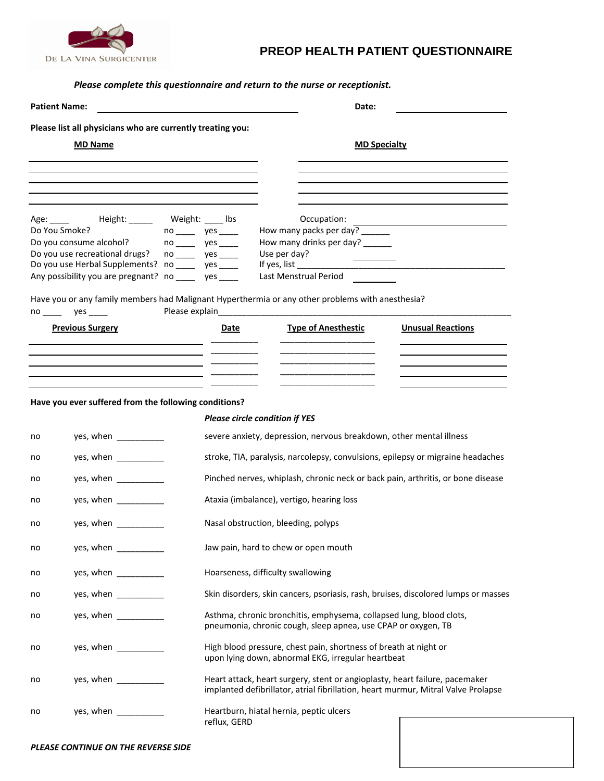

## **PREOP HEALTH PATIENT QUESTIONNAIRE**

## *Please complete this questionnaire and return to the nurse or receptionist.*

| <b>Patient Name:</b> |                                                                                                                                                                                                                                                                                                                                                                                                                         |                     | Date:                                                                                                                                                            |                          |  |  |
|----------------------|-------------------------------------------------------------------------------------------------------------------------------------------------------------------------------------------------------------------------------------------------------------------------------------------------------------------------------------------------------------------------------------------------------------------------|---------------------|------------------------------------------------------------------------------------------------------------------------------------------------------------------|--------------------------|--|--|
|                      | Please list all physicians who are currently treating you:                                                                                                                                                                                                                                                                                                                                                              |                     |                                                                                                                                                                  |                          |  |  |
| <b>MD Name</b>       |                                                                                                                                                                                                                                                                                                                                                                                                                         |                     | <b>MD Specialty</b>                                                                                                                                              |                          |  |  |
|                      |                                                                                                                                                                                                                                                                                                                                                                                                                         |                     |                                                                                                                                                                  |                          |  |  |
|                      |                                                                                                                                                                                                                                                                                                                                                                                                                         |                     |                                                                                                                                                                  |                          |  |  |
|                      |                                                                                                                                                                                                                                                                                                                                                                                                                         |                     |                                                                                                                                                                  |                          |  |  |
| Age: _____           | Height: _____                                                                                                                                                                                                                                                                                                                                                                                                           | Weight: _____ Ibs   | Occupation:                                                                                                                                                      |                          |  |  |
| Do You Smoke?        |                                                                                                                                                                                                                                                                                                                                                                                                                         | no ______ yes _____ | How many packs per day? ______                                                                                                                                   |                          |  |  |
|                      | Do you consume alcohol?                                                                                                                                                                                                                                                                                                                                                                                                 | no _____ yes ____   | How many drinks per day? ______                                                                                                                                  |                          |  |  |
|                      | Do you use recreational drugs?<br>Do you use Herbal Supplements? no _____ yes ____                                                                                                                                                                                                                                                                                                                                      | no _____ yes ____   | Use per day?<br>If yes, list _______                                                                                                                             |                          |  |  |
|                      | Any possibility you are pregnant? no _____ yes ____                                                                                                                                                                                                                                                                                                                                                                     |                     | Last Menstrual Period                                                                                                                                            |                          |  |  |
|                      |                                                                                                                                                                                                                                                                                                                                                                                                                         |                     | Have you or any family members had Malignant Hyperthermia or any other problems with anesthesia?                                                                 |                          |  |  |
|                      | $no \_\_\$ yes $\_\_\_\$<br><b>Previous Surgery</b>                                                                                                                                                                                                                                                                                                                                                                     | Date                | <b>Type of Anesthestic</b>                                                                                                                                       | <b>Unusual Reactions</b> |  |  |
|                      |                                                                                                                                                                                                                                                                                                                                                                                                                         |                     |                                                                                                                                                                  |                          |  |  |
|                      |                                                                                                                                                                                                                                                                                                                                                                                                                         |                     |                                                                                                                                                                  |                          |  |  |
|                      | the contract of the contract of the contract of the contract of the contract of the contract of                                                                                                                                                                                                                                                                                                                         |                     |                                                                                                                                                                  |                          |  |  |
|                      | Have you ever suffered from the following conditions?                                                                                                                                                                                                                                                                                                                                                                   |                     |                                                                                                                                                                  |                          |  |  |
|                      |                                                                                                                                                                                                                                                                                                                                                                                                                         |                     | <b>Please circle condition if YES</b>                                                                                                                            |                          |  |  |
| no                   | yes, when                                                                                                                                                                                                                                                                                                                                                                                                               |                     | severe anxiety, depression, nervous breakdown, other mental illness                                                                                              |                          |  |  |
| no                   | yes, when ____________                                                                                                                                                                                                                                                                                                                                                                                                  |                     | stroke, TIA, paralysis, narcolepsy, convulsions, epilepsy or migraine headaches                                                                                  |                          |  |  |
| no                   | yes, when $\frac{1}{\sqrt{1-\frac{1}{2}}\cdot\frac{1}{2}}$                                                                                                                                                                                                                                                                                                                                                              |                     | Pinched nerves, whiplash, chronic neck or back pain, arthritis, or bone disease                                                                                  |                          |  |  |
| no                   | yes, when $\frac{1}{\sqrt{1-\frac{1}{2}}\cdot\frac{1}{2}}$                                                                                                                                                                                                                                                                                                                                                              |                     | Ataxia (imbalance), vertigo, hearing loss                                                                                                                        |                          |  |  |
| no                   | yes, when $\frac{1}{\sqrt{1-\frac{1}{2}}\cdot\frac{1}{2}}$                                                                                                                                                                                                                                                                                                                                                              |                     | Nasal obstruction, bleeding, polyps                                                                                                                              |                          |  |  |
| no                   | yes, when $\frac{1}{\sqrt{1-\frac{1}{2}}}\left\vert \frac{1}{\sqrt{1-\frac{1}{2}}}\right\vert$                                                                                                                                                                                                                                                                                                                          |                     | Jaw pain, hard to chew or open mouth                                                                                                                             |                          |  |  |
| no                   | yes, when ___________                                                                                                                                                                                                                                                                                                                                                                                                   |                     | Hoarseness, difficulty swallowing                                                                                                                                |                          |  |  |
| no                   | yes, when ___________                                                                                                                                                                                                                                                                                                                                                                                                   |                     | Skin disorders, skin cancers, psoriasis, rash, bruises, discolored lumps or masses                                                                               |                          |  |  |
| no                   | yes, when ____________                                                                                                                                                                                                                                                                                                                                                                                                  |                     | Asthma, chronic bronchitis, emphysema, collapsed lung, blood clots,<br>pneumonia, chronic cough, sleep apnea, use CPAP or oxygen, TB                             |                          |  |  |
| no                   | yes, when $\frac{1}{\sqrt{1-\frac{1}{2}}}\frac{1}{\sqrt{1-\frac{1}{2}}}\frac{1}{\sqrt{1-\frac{1}{2}}}\frac{1}{\sqrt{1-\frac{1}{2}}}\frac{1}{\sqrt{1-\frac{1}{2}}}\frac{1}{\sqrt{1-\frac{1}{2}}}\frac{1}{\sqrt{1-\frac{1}{2}}}\frac{1}{\sqrt{1-\frac{1}{2}}}\frac{1}{\sqrt{1-\frac{1}{2}}}\frac{1}{\sqrt{1-\frac{1}{2}}}\frac{1}{\sqrt{1-\frac{1}{2}}}\frac{1}{\sqrt{1-\frac{1}{2}}}\frac{1}{\sqrt{1-\frac{1}{2}}}\frac$ |                     | High blood pressure, chest pain, shortness of breath at night or<br>upon lying down, abnormal EKG, irregular heartbeat                                           |                          |  |  |
| no                   | yes, when $\frac{1}{\sqrt{1-\frac{1}{2}}}\frac{1}{\sqrt{1-\frac{1}{2}}}\frac{1}{\sqrt{1-\frac{1}{2}}}\frac{1}{\sqrt{1-\frac{1}{2}}}\frac{1}{\sqrt{1-\frac{1}{2}}}\frac{1}{\sqrt{1-\frac{1}{2}}}\frac{1}{\sqrt{1-\frac{1}{2}}}\frac{1}{\sqrt{1-\frac{1}{2}}}\frac{1}{\sqrt{1-\frac{1}{2}}}\frac{1}{\sqrt{1-\frac{1}{2}}}\frac{1}{\sqrt{1-\frac{1}{2}}}\frac{1}{\sqrt{1-\frac{1}{2}}}\frac{1}{\sqrt{1-\frac{1}{2}}}\frac$ |                     | Heart attack, heart surgery, stent or angioplasty, heart failure, pacemaker<br>implanted defibrillator, atrial fibrillation, heart murmur, Mitral Valve Prolapse |                          |  |  |
| no                   | yes, when ___________                                                                                                                                                                                                                                                                                                                                                                                                   | reflux, GERD        | Heartburn, hiatal hernia, peptic ulcers                                                                                                                          |                          |  |  |